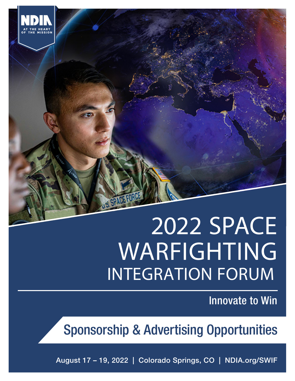# 2022 SPACE WARFIGHTING INTEGRATION FORUM

Innovate to Win

Sponsorship & Advertising Opportunities

August 17 – 19, 2022 | Colorado Springs, CO | NDIA.org/SWIF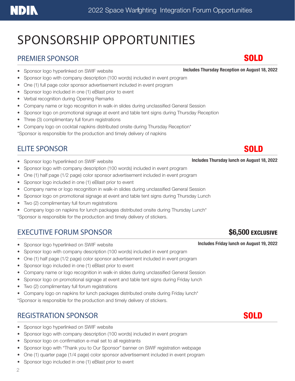# **NDIN**

# SPONSORSHIP OPPORTUNITIES

#### PREMIER SPONSOR SOLD SOLD

- Sponsor logo with company description (100 words) included in event program
- One (1) full page color sponsor advertisement included in event program
- Sponsor logo included in one (1) eBlast prior to event
- Verbal recognition during Opening Remarks
- Company name or logo recognition in walk-in slides during unclassified General Session
- Sponsor logo on promotional signage at event and table tent signs during Thursday Reception
- Three (3) complimentary full forum registrations
- Company logo on cocktail napkins distributed onsite during Thursday Reception\*

\*Sponsor is responsible for the production and timely delivery of napkins

### ELITE SPONSOR

- Sponsor logo hyperlinked on SWIF website Includes Thursday lunch on August 18, 2022
- Sponsor logo with company description (100 words) included in event program
- One (1) half page (1/2 page) color sponsor advertisement included in event program
- Sponsor logo included in one (1) eBlast prior to event
- Company name or logo recognition in walk-in slides during unclassified General Session
- Sponsor logo on promotional signage at event and table tent signs during Thursday Lunch
- Two (2) complimentary full forum registrations
- Company logo on napkins for lunch packages distributed onsite during Thursday Lunch\*

\*Sponsor is responsible for the production and timely delivery of stickers.

### EXECUTIVE FORUM SPONSOR **\$6,500 EXECUTIVE FORUM SPONSOR**

- Sponsor logo hyperlinked on SWIF website Includes Friday lunch on August 19, 2022
- Sponsor logo with company description (100 words) included in event program
- One (1) half page (1/2 page) color sponsor advertisement included in event program
- Sponsor logo included in one (1) eBlast prior to event
- Company name or logo recognition in walk-in slides during unclassified General Session
- Sponsor logo on promotional signage at event and table tent signs during Friday lunch
- Two (2) complimentary full forum registrations
- Company logo on napkins for lunch packages distributed onsite during Friday lunch\* \*Sponsor is responsible for the production and timely delivery of stickers.

### REGISTRATION SPONSOR **SOLD**

- Sponsor logo hyperlinked on SWIF website
- Sponsor logo with company description (100 words) included in event program
- Sponsor logo on confirmation e-mail set to all registrants
- Sponsor logo with "Thank you to Our Sponsor" banner on SWIF registration webpage
- One (1) quarter page (1/4 page) color sponsor advertisement included in event program
- Sponsor logo included in one (1) eBlast prior to event

• Sponsor logo hyperlinked on SWIF website **Includes Thursday Reception on August 18, 2022** 

## SOLD



 $2$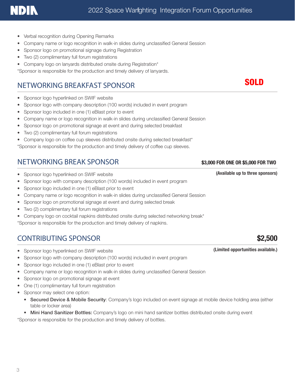- Verbal recognition during Opening Remarks
- Company name or logo recognition in walk-in slides during unclassified General Session
- Sponsor logo on promotional signage during Registration
- Two (2) complimentary full forum registrations
- Company logo on lanyards distributed onsite during Registration\*

\*Sponsor is responsible for the production and timely delivery of lanyards.

### NETWORKING BREAKFAST SPONSOR

- Sponsor logo hyperlinked on SWIF website
- Sponsor logo with company description (100 words) included in event program
- Sponsor logo included in one (1) eBlast prior to event
- Company name or logo recognition in walk-in slides during unclassified General Session
- Sponsor logo on promotional signage at event and during selected breakfast
- Two (2) complimentary full forum registrations
- Company logo on coffee cup sleeves distributed onsite during selected breakfast\*

\*Sponsor is responsible for the production and timely delivery of coffee cup sleeves.

#### NETWORKING BREAK SPONSOR \$3,000 FOR ONE OR \$5,000 FOR TWO

- Sponsor logo hyperlinked on SWIF website (Available up to three sponsors)
- Sponsor logo with company description (100 words) included in event program
- Sponsor logo included in one (1) eBlast prior to event
- Company name or logo recognition in walk-in slides during unclassified General Session
- Sponsor logo on promotional signage at event and during selected break
- Two (2) complimentary full forum registrations
- Company logo on cocktail napkins distributed onsite during selected networking break\*

\*Sponsor is responsible for the production and timely delivery of napkins.

### CONTRIBUTING SPONSOR \$2,500

- Sponsor logo hyperlinked on SWIF website (Limited opportunities available.)
- Sponsor logo with company description (100 words) included in event program
- Sponsor logo included in one (1) eBlast prior to event
- Company name or logo recognition in walk-in slides during unclassified General Session
- Sponsor logo on promotional signage at event
- One (1) complimentary full forum registration
- Sponsor may select one option:
	- Secured Device & Mobile Security: Company's logo included on event signage at mobile device holding area (either table or locker area)
	- Mini Hand Sanitizer Bottles: Company's logo on mini hand sanitizer bottles distributed onsite during event

\*Sponsor is responsible for the production and timely delivery of bottles.

### **SOLD**